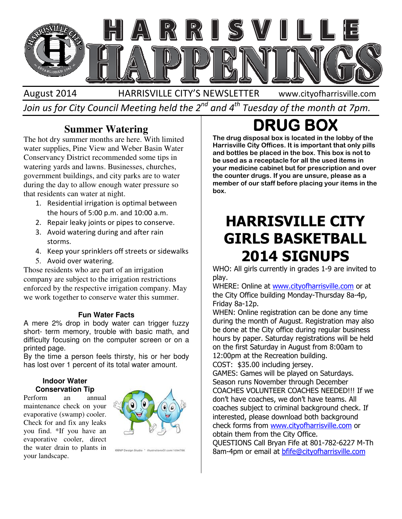

August 2014 HARRISVILLE CITY'S NEWSLETTER Join us for City Council Meeting held the 2 $^{\mathit{nd}}$  and 4 $^{\mathit{th}}$  Tuesday of the month at 7pm. www.cityofharrisville.com

### **Summer Watering**

The hot dry summer months are here. With limited water supplies, Pine View and Weber Basin Water Conservancy District recommended some tips in watering yards and lawns. Businesses, churches, government buildings, and city parks are to water during the day to allow enough water pressure so that residents can water at night. Weber Basin Wate<br>nded some tips in<br>inesses, churches, **Summer Watering**<br>
The hot dy summer months are here. With limited<br>
The drug disposed bot is located in the the transformed content water<br>
conservancely District recommended some tips in<br>
the dustable base and the box. Th

- 1. Residential irrigation is optimal between
- the hours of 5:00 p.m. and 10:00 a.m.<br>Repair leaky joints or pipes to conserv<br>Avoid watering during and after rain 2. Repair leaky joints or pipes to conserve.
- 3. Avoid watering during and after rain storms.
- 4. Keep your sprinklers off streets or sidewalks
- 5. Avoid over watering.

Those residents who are part of an irrigation company are subject to the irrigation restrictions enforced by the respective irrigation company. May we work together to conserve water this summer.

#### **Fun Water Facts**

A mere 2% drop in body water can trigger fuzzy short- term memory, trouble with basic math, and difficulty focusing on the computer screen or on a printed page.

By the time a person feels thirsty, his or her body has lost over 1 percent of its total water amount.

#### **Indoor Water Conservation Tip**

Perform an annual maintenance check on your evaporative (swamp) cooler. Check for and fix any leaks you find. \*If you have an evaporative cooler, direct the water drain to plants in your landscape.



OBNP Design Studio \* illustrationsOf.com/1094786

## **DRUG BOX**

The drug disposal box is located in the lobby of the Harrisville City Offices. It is important that only pills and bottles be placed in the box. This box is not to be used as a receptacle for all the used items in your medicine cabinet but for prescription and over Harrisville City Offices. It is important that only pills<br>and bottles be placed in the box. This box is not to<br>be used as a receptacle for all the used items in<br>your medicine cabinet but for prescription and over<br>the count member of our staff before placing your items in the box.

### HARRISVILLE CITY GIRLS BASKETBALL 2014 SIGNUPS 2014

WHO: All girls currently in grades 1-9 are invited to play.

WHERE: Online at www.cityofharrisville.com or at the City Office building Monday Office building Monday-Thursday 8a-4p, Friday 8a-12p.

WHEN: Online registration can be done any time during the month of August. Registration may also be done at the City office during regular business hours by paper. Saturday registrations will be held on the first Saturday in August from 8:00am to 12:00pm at the Recreation building. during the month of August. Registration may also<br>be done at the City office during regular business<br>hours by paper. Saturday registrations will be held<br>on the first Saturday in August from 8:00am to<br>12:00pm at the Recreat

COST: \$35.00 including jersey.

GAMES: Games will be played on Saturdays. Season runs November through December COACHES VOLUNTEER COACHES NEEDED!! don't have coaches, we don't have teams. All coaches subject to criminal background check. If interested, please download both background don't have coaches, we don't have teams. All<br>coaches subject to criminal background check.<br>interested, please download both background<br>check forms from <u>www.cityofharrisville.com</u> or obtain them from the City Office.

QUESTIONS Call Bryan Fife at 801 801-782-6227 M-Th 8am-4pm or email at bfife@cityofharrisville.com